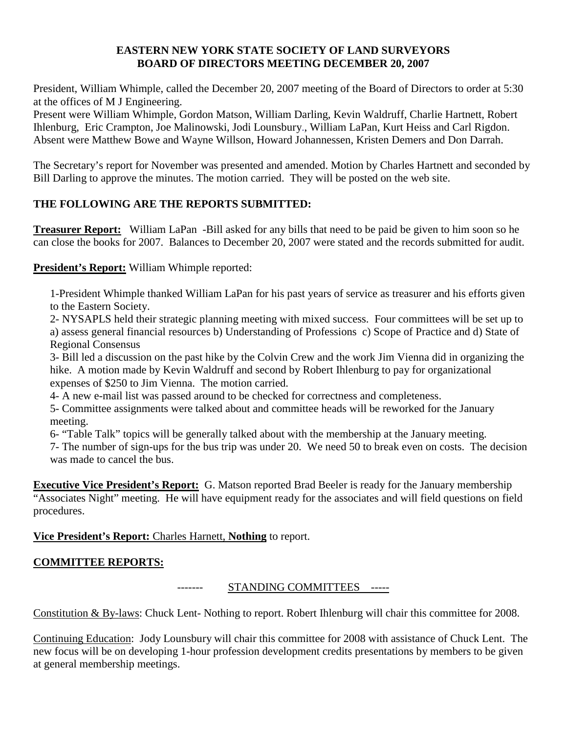### **EASTERN NEW YORK STATE SOCIETY OF LAND SURVEYORS BOARD OF DIRECTORS MEETING DECEMBER 20, 2007**

President, William Whimple, called the December 20, 2007 meeting of the Board of Directors to order at 5:30 at the offices of M J Engineering.

Present were William Whimple, Gordon Matson, William Darling, Kevin Waldruff, Charlie Hartnett, Robert Ihlenburg, Eric Crampton, Joe Malinowski, Jodi Lounsbury., William LaPan, Kurt Heiss and Carl Rigdon. Absent were Matthew Bowe and Wayne Willson, Howard Johannessen, Kristen Demers and Don Darrah.

The Secretary's report for November was presented and amended. Motion by Charles Hartnett and seconded by Bill Darling to approve the minutes. The motion carried. They will be posted on the web site.

# **THE FOLLOWING ARE THE REPORTS SUBMITTED:**

**Treasurer Report:** William LaPan -Bill asked for any bills that need to be paid be given to him soon so he can close the books for 2007. Balances to December 20, 2007 were stated and the records submitted for audit.

# **President's Report:** William Whimple reported:

1-President Whimple thanked William LaPan for his past years of service as treasurer and his efforts given to the Eastern Society.

2- NYSAPLS held their strategic planning meeting with mixed success. Four committees will be set up to a) assess general financial resources b) Understanding of Professions c) Scope of Practice and d) State of Regional Consensus

3- Bill led a discussion on the past hike by the Colvin Crew and the work Jim Vienna did in organizing the hike. A motion made by Kevin Waldruff and second by Robert Ihlenburg to pay for organizational expenses of \$250 to Jim Vienna. The motion carried.

4- A new e-mail list was passed around to be checked for correctness and completeness.

5- Committee assignments were talked about and committee heads will be reworked for the January meeting.

6- "Table Talk" topics will be generally talked about with the membership at the January meeting.

7- The number of sign-ups for the bus trip was under 20. We need 50 to break even on costs. The decision was made to cancel the bus.

**Executive Vice President's Report:** G. Matson reported Brad Beeler is ready for the January membership "Associates Night" meeting. He will have equipment ready for the associates and will field questions on field procedures.

# **Vice President's Report:** Charles Harnett, **Nothing** to report.

# **COMMITTEE REPORTS:**

### STANDING COMMITTEES -----

Constitution & By-laws: Chuck Lent- Nothing to report. Robert Ihlenburg will chair this committee for 2008.

Continuing Education: Jody Lounsbury will chair this committee for 2008 with assistance of Chuck Lent. The new focus will be on developing 1-hour profession development credits presentations by members to be given at general membership meetings.